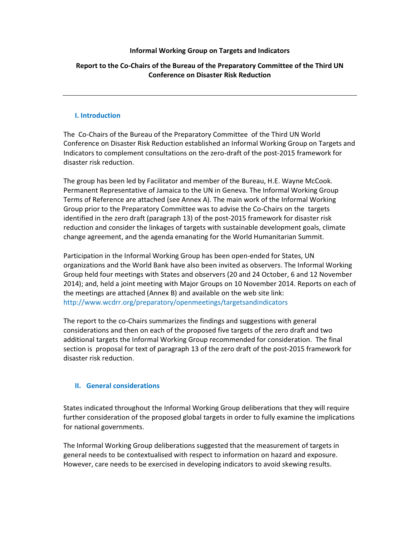### Informal Working Group on Targets and Indicators

# Report to the Co-Chairs of the Bureau of the Preparatory Committee of the Third UN Conference on Disaster Risk Reduction

## I. Introduction

The Co-Chairs of the Bureau of the Preparatory Committee of the Third UN World Conference on Disaster Risk Reduction established an Informal Working Group on Targets and Indicators to complement consultations on the zero-draft of the post-2015 framework for disaster risk reduction.

The group has been led by Facilitator and member of the Bureau, H.E. Wayne McCook. Permanent Representative of Jamaica to the UN in Geneva. The Informal Working Group Terms of Reference are attached (see Annex A). The main work of the Informal Working Group prior to the Preparatory Committee was to advise the Co-Chairs on the targets identified in the zero draft (paragraph 13) of the post-2015 framework for disaster risk reduction and consider the linkages of targets with sustainable development goals, climate change agreement, and the agenda emanating for the World Humanitarian Summit.

Participation in the Informal Working Group has been open-ended for States, UN organizations and the World Bank have also been invited as observers. The Informal Working Group held four meetings with States and observers (20 and 24 October, 6 and 12 November 2014); and, held a joint meeting with Major Groups on 10 November 2014. Reports on each of the meetings are attached (Annex B) and available on the web site link: http://www.wcdrr.org/preparatory/openmeetings/targetsandindicators

The report to the co-Chairs summarizes the findings and suggestions with general considerations and then on each of the proposed five targets of the zero draft and two additional targets the Informal Working Group recommended for consideration. The final section is proposal for text of paragraph 13 of the zero draft of the post-2015 framework for disaster risk reduction.

## II. General considerations

States indicated throughout the Informal Working Group deliberations that they will require further consideration of the proposed global targets in order to fully examine the implications for national governments.

The Informal Working Group deliberations suggested that the measurement of targets in general needs to be contextualised with respect to information on hazard and exposure. However, care needs to be exercised in developing indicators to avoid skewing results.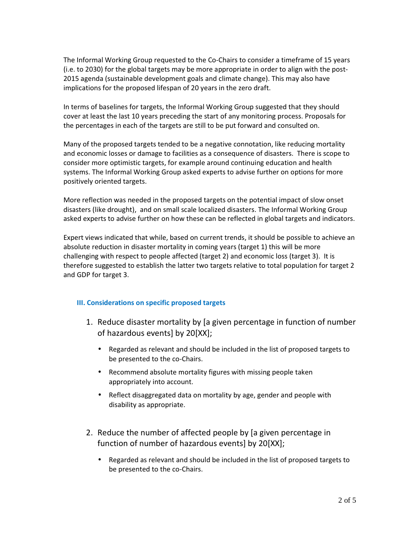The Informal Working Group requested to the Co-Chairs to consider a timeframe of 15 years (i.e. to 2030) for the global targets may be more appropriate in order to align with the post-2015 agenda (sustainable development goals and climate change). This may also have implications for the proposed lifespan of 20 years in the zero draft.

In terms of baselines for targets, the Informal Working Group suggested that they should cover at least the last 10 years preceding the start of any monitoring process. Proposals for the percentages in each of the targets are still to be put forward and consulted on.

Many of the proposed targets tended to be a negative connotation, like reducing mortality and economic losses or damage to facilities as a consequence of disasters. There is scope to consider more optimistic targets, for example around continuing education and health systems. The Informal Working Group asked experts to advise further on options for more positively oriented targets.

More reflection was needed in the proposed targets on the potential impact of slow onset disasters (like drought), and on small scale localized disasters. The Informal Working Group asked experts to advise further on how these can be reflected in global targets and indicators.

Expert views indicated that while, based on current trends, it should be possible to achieve an absolute reduction in disaster mortality in coming years (target 1) this will be more challenging with respect to people affected (target 2) and economic loss (target 3). It is therefore suggested to establish the latter two targets relative to total population for target 2 and GDP for target 3.

# III. Considerations on specific proposed targets

- 1. Reduce disaster mortality by [a given percentage in function of number of hazardous events] by 20[XX];
	- Regarded as relevant and should be included in the list of proposed targets to be presented to the co-Chairs.
	- Recommend absolute mortality figures with missing people taken appropriately into account.
	- Reflect disaggregated data on mortality by age, gender and people with disability as appropriate.
- 2. Reduce the number of affected people by [a given percentage in function of number of hazardous events] by 20[XX];
	- Regarded as relevant and should be included in the list of proposed targets to be presented to the co-Chairs.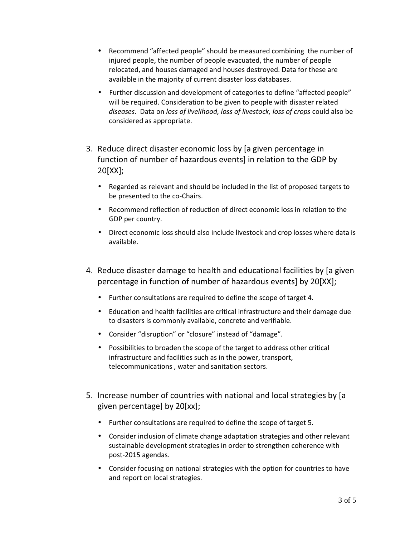- Recommend "affected people" should be measured combining the number of injured people, the number of people evacuated, the number of people relocated, and houses damaged and houses destroyed. Data for these are available in the majority of current disaster loss databases.
- Further discussion and development of categories to define "affected people" will be required. Consideration to be given to people with disaster related diseases. Data on loss of livelihood, loss of livestock, loss of crops could also be considered as appropriate.
- 3. Reduce direct disaster economic loss by [a given percentage in function of number of hazardous events] in relation to the GDP by 20[XX];
	- Regarded as relevant and should be included in the list of proposed targets to be presented to the co-Chairs.
	- Recommend reflection of reduction of direct economic loss in relation to the GDP per country.
	- Direct economic loss should also include livestock and crop losses where data is available.
- 4. Reduce disaster damage to health and educational facilities by [a given percentage in function of number of hazardous events] by 20[XX];
	- Further consultations are required to define the scope of target 4.
	- Education and health facilities are critical infrastructure and their damage due to disasters is commonly available, concrete and verifiable.
	- Consider "disruption" or "closure" instead of "damage".
	- Possibilities to broaden the scope of the target to address other critical infrastructure and facilities such as in the power, transport, telecommunications , water and sanitation sectors.
- 5. Increase number of countries with national and local strategies by [a given percentage] by 20[xx];
	- Further consultations are required to define the scope of target 5.
	- Consider inclusion of climate change adaptation strategies and other relevant sustainable development strategies in order to strengthen coherence with post-2015 agendas.
	- Consider focusing on national strategies with the option for countries to have and report on local strategies.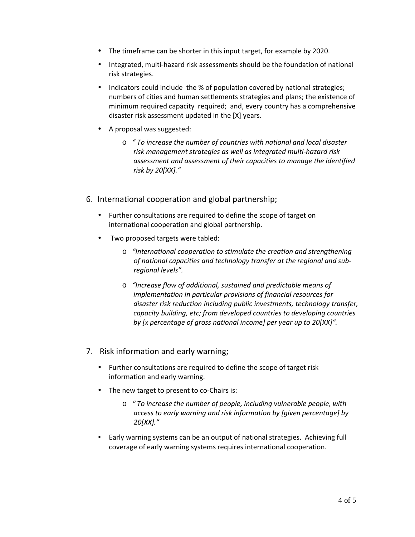- The timeframe can be shorter in this input target, for example by 2020.
- Integrated, multi-hazard risk assessments should be the foundation of national risk strategies.
- Indicators could include the % of population covered by national strategies; numbers of cities and human settlements strategies and plans; the existence of minimum required capacity required; and, every country has a comprehensive disaster risk assessment updated in the [X] years.
- A proposal was suggested:
	- o " To increase the number of countries with national and local disaster risk management strategies as well as integrated multi-hazard risk assessment and assessment of their capacities to manage the identified risk by 20[XX]."
- 6. International cooperation and global partnership;
	- Further consultations are required to define the scope of target on international cooperation and global partnership.
	- Two proposed targets were tabled:
		- o "International cooperation to stimulate the creation and strengthening of national capacities and technology transfer at the regional and subregional levels".
		- o "Increase flow of additional, sustained and predictable means of implementation in particular provisions of financial resources for disaster risk reduction including public investments, technology transfer, capacity building, etc; from developed countries to developing countries by [x percentage of gross national income] per year up to 20[XX]".
- 7. Risk information and early warning;
	- Further consultations are required to define the scope of target risk information and early warning.
	- The new target to present to co-Chairs is:
		- o " To increase the number of people, including vulnerable people, with access to early warning and risk information by [given percentage] by 20[XX]."
	- Early warning systems can be an output of national strategies. Achieving full coverage of early warning systems requires international cooperation.